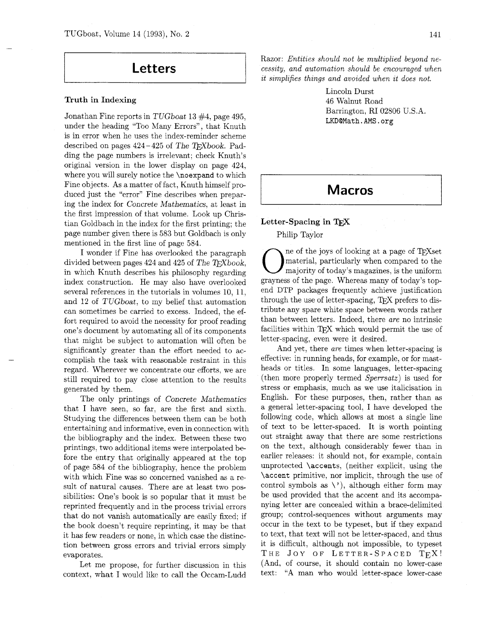## **Letters**

### **Truth in Indexing**

Jonathan Fine reports in TUGboat 13 #4, page 495, under the heading "Too Many Errors", that Knuth is in error when he uses the index-reminder scheme described on pages  $424-425$  of The T<sub>F</sub>Xbook. Padding the page numbers is irrelevant; check Knuth's original version in the lower display on page 424, where you will surely notice the **\noexpand** to which Fine objects. As a matter of fact, Knuth himself produced just the "error" Fine describes when preparing the index for Concrete Mathematics, at least in the first impression of that volume. Look up Christian Goldbach in the index for the first printing; the page number given there is 583 but Goldbach is only mentioned in the first line of page 584.

I wonder if Fine has overlooked the paragraph divided between pages 424 and 425 of The T<sub>F</sub>Xbook, in which Knuth describes his philosophy regarding index construction. He may also have overlooked several references in the tutorials in volumes 10, 11, and 12 of TUGboat, to my belief that automation can sometimes be carried to excess. Indeed, the effort required to avoid the necessity for proof reading one's document by automating all of its components that might be subject to automation will often be significantly greater than the effort needed to accomplish the task with reasonable restraint in this regard. Wherever we concentrate our efforts. we are still required to pay close attention to the results generated by them.

The only printings of Concrete Mathematics that I have seen, so far, are the first and sixth. Studying the differences between them can be both entertaining and informative, even in connection with the bibliography and the index. Between these two printings, two additional items were interpolated before the entry that originally appeared at the top of page 584 of the bibliography, hence the problem with which Fine was so concerned vanished as a result of natural causes. There are at least two possibilities: One's book is so popular that it must be reprinted frequently and in the process trivial errors that do not vanish automatically are easily fixed; if the book doesn't require reprinting, it may be that it has few readers or none, in which case the distinction between gross errors and trivial errors simply evaporates.

Let me propose, for further discussion in this context, what I would like to call the Occam-Ludd

Razor: *Entities should not be multiplied beyond necessity, and automation should be encouraged when it simplifies things and avoided when it does not.* 

> Lincoln Durst 46 Walnut Road Barrington, RI 02806 U.S.A. LKDQMath.AMS.org

# **Macros**

## **Letter-Spacing in**

Philip Taylor

Philip Taylor<br>  $\bigodot$  ne of the joys of looking at a page of TEXset<br>
material, particularly when compared to the<br>
majority of today's magazines, is the uniform material, particularly when compared to the grayness of the page. Whereas many of today's topend DTP packages frequently achieve justification through the use of letter-spacing, TEX prefers to distribute any spare white space between words rather than between letters. Indeed, there *are* no intrinsic facilities within TFX which would permit the use of letter-spacing, even were it desired.

And yet, there *are* times when letter-spacing is effective: in running heads, for example, or for mastheads or titles. In some languages, letter-spacing (then more properly termed *Sperrsatz)* is used for stress or emphasis, much as we use italicisation in English. For these purposes, then, rather than as a general letter-spacing tool, I have developed the following code, which allows at most a single line of text to be letter-spaced. It is worth pointing out straight away that there are some restrictions on the text, although considerably fewer than in earlier releases: it should not, for example, contain unprotected \accents, (neither explicit, using the \accent primitive, nor implicit, through the use of control symbols as  $\setminus$ , although either form may be used provided that the accent and its accompanying letter are concealed within a brace-delimited group; control-sequences without arguments may occur in the text to be typeset, but if they expand to text, that text will not be letter-spaced, and thus it is difficult, although not impossible, to typeset THE JOY OF LETTER-SPACED TEX! (And, of course, it should contain no lower-case text: "A man who would letter-space lower-case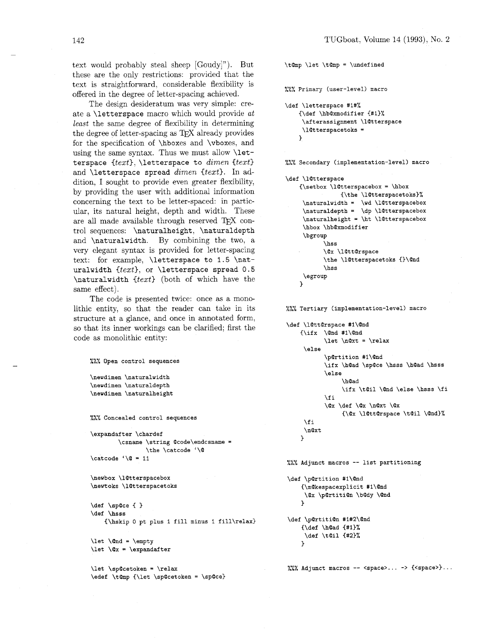text would probably steal sheep [Goudy]"). But these are the only restrictions: provided that the text is straightforward, considerable flexibility is offered in the degree of letter-spacing achieved.

The design desideratum was very simple: create a \letterspace macro which would provide at least the same degree of flexibility in determining the degree of letter-spacing as TFX already provides for the specification of \hboxes and \vboxes, and using the same syntax. Thus we must allow \letterspace {text), \letterspace to *dimen* {text) and \letterspace spread *dimen* (text). In addition, I sought to provide even greater flexibility, by providing the user with additional information concerning the text to be letter-spaced: in particular, its natural height, depth and width. These are all made available through reserved  $T_{F}X$  control sequences: \naturalheight, \naturaldepth and \naturalwidth. By combining the two, a very elegant syntax is provided for letter-spacing text: for example, *\letterspace to 1.5 \nat*uralwidth  $\{text\}$ , or \letterspace spread 0.5 \naturalwidth {text) (both of which have the same effect).

The code is presented twice: once **as** a monolithic entity, so that the reader can take in its structure at a glance, and once in annotated form, so that its inner workings can be clarified; first the code as monolithic entity:

 $\frac{2\pi}{2}$  Open control sequences

```
\newdimen \naturalwidth
\newdimen \naturaldepth
\newdimen \naturalheight
```
 $\frac{1}{2}$ . Concealed control sequences

\expandafter \chardef \csname \string @code\endcsname = \the \catcode '\@  $\catcode ' \@ = 11$ 

\newbox \l@tterspacebox \newtoks \1@tterspacetoks

**\def \space** { **<sup>3</sup> \def \hsss {\hskip** 0 **pt plus 1 fill minus 1 fill\relax)** 

\let \@nd = \empty  $\let \ Qx = \expandafter$ 

\let \sp@cetoken = \relax \edef \t@mp {\let \sp@cetoken = \sp@ce} \t@mp \let \t@mp = \undefined

 $\frac{2\pi}{2}$  Primary (user-level) macro

```
\def \letterspace #1#%
    {\def \hb@xmodifier {#1}%
     \afterassignment \l@tterspace
     \l@tterspacetoks =
    \mathbf{L}
```
 $\frac{1}{2}$ . Secondary (implementation-level) macro

```
\def \l@tterspace
    {\setbox \l@tterspacebox = \hbox
                 {\the \1@tterspacetoks}%
     \verb|\natural width = \verb|\wd \l{0tterspacebox}|\naturaldepth = \dp \l@tterspacebox
     \naturalheight = \ht \l@tterspacebox
     \hbox \hb@xmodifier
     \bgroup
            hss<sup>1</sup>
            \@x \l@tt@rspace
            \the \l@tterspacetoks {}\@nd
            \hss
     \egroup
    \mathbf{r}
```
%%% Tertiary (implementation-level) macro

```
\def \l@tt@rspace #1\@nd
    \{\iota x \ \Omega \neq 1\}\let \n@xt = \relax
     \lambdaelse
            \p@rtition #1\@nd
           \ifx \h@ad \sp@ce \hsss \h@ad \hsss
            \else
                 \h@ad
                 \ifx \t@il \@nd \else \hsss \fi
           \chi_{1}\@x \def \@x \n@xt \@x
                 \{\@x\@t{ \& \td{ \} \} \\fi
```

```
\n\cdott
\mathbf{r}
```
**<sup>I</sup>I** *I* LLL **Adjunct macros** -- **list partitioning** 

```
\def \p@rtition #1\@nd
     \{\mathsf{Qkespacexplicit \#1\}@nd\@x \p@rtiti@n \b@dy \@nd
    \mathbf{r}
```

```
\def \p@rtiti@n #1#2\@nd
    \{\det \ \hd \ {#1}%
     \def \t@il {#2}%
    \mathcal{L}
```
**.so** LLL **Adjunct macros** -- **<space>** ... -> **{<space>)** ...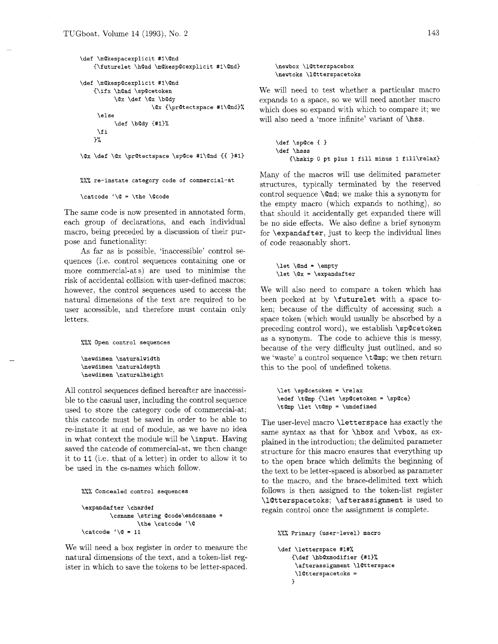```
\def \m@kespacexplicit #1\@nd
    {\futurelet \h@ad \m@kesp@cexplicit #1\@nd}
\def \m@kesp@cexplicit #1\@nd
    {\ifx \h@ad \sp@cetoken
          \@x \def \@x \b@dy
                      \@x {\pr@tectspace #1\@nd}%
     \else
          \def \b@dy {#1}%
     \chi_{\texttt{fi}}\mathcal{Y}'\@x \def \@x \pr@tectspace \sp@ce #1\@nd {{ }#1}
%%% re-instate category code of commercial-at 
\catcode' \@ = \tthe \@code
```
The same code is now presented in annotated form, each group of declarations, and each individual macro, being preceded by a discussion of their purpose and functionality:

As far as is possible, 'inaccessible' control sequences (i.e. control sequences containing one or more commercial-at s) are used to minimise the risk of accidental collision with user-defined macros; however, the control sequences used to access the natural dimensions of the text are required to be user accessible, and therefore must contain only letters.

... */./.A* **Open control sequences** 

```
\newdimen \naturalwidth
\newdimen \naturaldepth
\newdimen \naturalheight
```
All control sequences defined hereafter are inaccessible to the casual user, including the control sequence used to store the category code of commercial-at; this catcode must be saved in order to be able to re-instate it at end of module, **as** we have no idea in what context the module will be \input. Having saved the catcode of commercial-at, we then change it to 11 (i.e. that of a letter) in order to allow it to be used in the cs-names which follow.

```
\frac{1}{2}. Concealed control sequences
```

```
\expandaf ter \chardef 
        \csname \string Qcode\endcsname = 
                 \the \catcode '\Q 
\catcode '\@ = 11
```
We will need a box register in order to measure the natural dimensions of the text, and a token-list register in which to save the tokens to be letter-spaced.

#### \newbox \l@tterspacebox \newtoks \l@tterspacetoks

We will need to test whether a particular macro expands to a space, so we will need another macro which does so expand with which to compare it; we will also need a 'more infinite' variant of **\hss.** 

```
\def \spQce { 3 
\def \hsss 
    {\hskip 0 pt plus 1 fill minus 1 fill\relax)
```
Many of the macros will use delimited parameter structures, typically terminated by the reserved control sequence  $\setminus$  and; we make this a synonym for the empty macro (which expands to nothing), so that should it accidentally get expanded there will be no side effects. We also define a brief synonym for \expandafter, just to keep the individual lines of code reasonably short.

\let \@nd = \empty  $\let \ Qx = \expandafter$ 

We will also need to compare a token which has been peeked at by \futurelet with a space token; because of the difficulty of accessing such a space token (which would usually be absorbed by a preceding control word), we establish \sp@cetoken as a synonym. The code to achieve this is messy, because of the very difficulty just outlined, and so we 'waste' a control sequence  $\setminus t$  Omp; we then return this to the pool of undefined tokens.

\let \sp@cetoken = \relax \edef \t@mp {\let \sp@cetoken = \sp@ce} \t@mp \let \t@mp = \undefined

The user-level macro \letterspace has exactly the same syntax as that for \hbox and \vbox, as explained in the introduction; the delimited parameter structure for this macro ensures that everything up to the open brace which delimits the beginning of the text to be letter-spaced is absorbed as parameter to the macro, and the brace-delimited text which follows is then assigned to the token-list register \l@tterspacetoks; \afterassignment is used to regain control once the assignment is complete.

```
\frac{1}{2}. Primary (user-level) macro
```

```
\def \letterspace #1#%
    {\def \hb@xmodifier {#1}%
     \afterassignment \l@tterspace
     \setminus10tterspacetoks =
    J.
```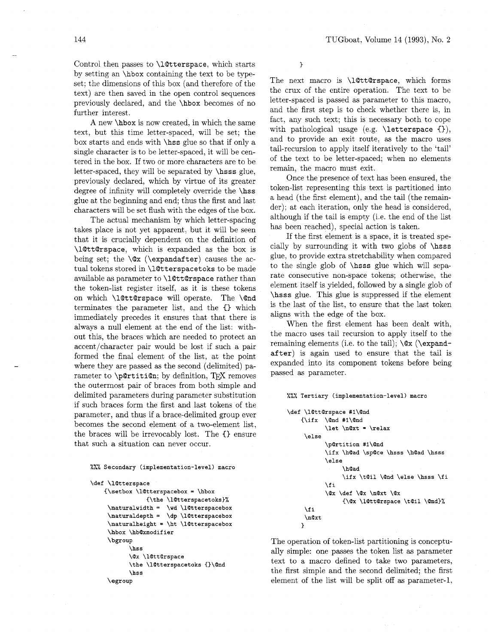Control then passes to  $\Lambda$ **Culterspace**, which starts by setting an \hbox containing the text to be typeset: the dimensions of this box (and therefore of the text) are then saved in the open control sequences previously declared, and the \hbox becomes of no further interest.

A new \hbox is now created, in which the same text, but this time letter-spaced, will be set; the box starts and ends with \hss glue so that if only a single character is to be letter-spaced, it will be centered in the box. If two or more characters are to be letter-spaced, they will be separated by \hsss glue, previously declared, which by virtue of its greater degree of infinity will completely override the **\hss** glue at the beginning and end; thus the first and last characters will be set flush with the edges of the box.

The actual mechanism by which letter-spacing takes place is not yet apparent, but it will be seen that it is crucially dependent on the definition of \lQttQrspace, which is expanded as the box is being set; the \Qx (\expandafter) causes the actual tokens stored in **\l**@tterspacetoks to be made available as parameter to \lQtt@rspace rather than the token-list register itself, as it is these tokens on which \l@tt@rspace will operate. The \@nd terminates the parameter list, and the **C)** which immediately precedes it ensures that that there is always a null element at the end of the list: without this, the braces which are needed to protect an accent/character pair would be lost if such a pair formed the final element of the list, at the point where they are passed as the second (delimited) parameter to  $\partial$ :  $\psi$  definition, TFX removes the outermost pair of braces from both simple and delimited parameters during parameter substitution if such braces form the first and last tokens of the parameter, and thus if a brace-delimited group ever becomes the second element of a two-element list, the braces will be irrevocably lost. The  $\{\}$  ensure that such a situation can never occur.

## **.a.** /.I!/. **Secondary (implementation-level) macro**

```
\def \l@tterspace
    {\setbox \l@tterspacebox = \hbox
                 {\the \l@tterspacetoks}%
     \naturalwidth = \wd \l@tterspacebox
     \naturaldepth = \dp \l@tterspacebox
     \naturalheight = \ht \l@tterspacebox
     \hbox \hb@xmodifier
     \bgroup
           \hss
           \@x \l@tt@rspace
           \the \l@tterspacetoks {}\@nd
           hss<sup>1</sup>
     \egroup
```
 $\mathbf{r}$ 

The next macro is **\l**QttQrspace, which forms the crux of the entire operation. The text to be letter-spaced is passed as parameter to this macro, and the first step is to check whether there is, in fact, any such text; this is necessary both to cope with pathological usage (e.g. *\letterspace {})*, and to provide an exit route, as the macro uses tail-recursion to apply itself iteratively to the 'tail' of the text to be letter-spaced; when no elements remain, the macro must exit.

Once the presence of text has been ensured, the token-list representing this text is partitioned into a head (the first element), and the tail (the remainder); at each iteration, only the head is considered, although if the tail is empty (i.e. the end of the list has been reached), special action is taken.

If the first element is a space, it is treated specially by surrounding it with two globs of \hsss glue, to provide extra stretchability when compared to the single glob of \hsss glue which will separate consecutive non-space tokens; otherwise, the element itself is yielded, followed by a single glob of \hsss glue. This glue is suppressed if the element is the last of the list, to ensure that the last token aligns with the edge of the box.

When the first element has been dealt with, the macro uses tail recursion to apply itself to the remaining elements (i.e. to the tail);  $\&$  (\expandafter) is again used to ensure that the tail is expanded into its component tokens before being passed as parameter.

#### %%% Tertiary (implementation-level) macro

```
\def \l@tt@rspace #1\@nd
    \{\iota f x \ \ \Diamond nd \ #1 \Diamond nd\let \n\cdot = \relax\else
            \p@rtition #1\@nd
            \ifx \h@ad \sp@ce \hsss \h@ad \hsss
            \else
                  \h@ad
                  \ifx \t@il \@nd \else \hsss \fi
            \fi
            \@x \def \@x \n@xt \@x
                  {\@x \l@tt@rspace \t@il \@nd}%
     \chi_{1}\n@xt
    7
```
The operation of token-list partitioning is conceptually simple: one passes the token list **as** parameter text to a macro defined to take two parameters, the first simple and the second delimited; the first element of the list will be split off **as** parameter-1,